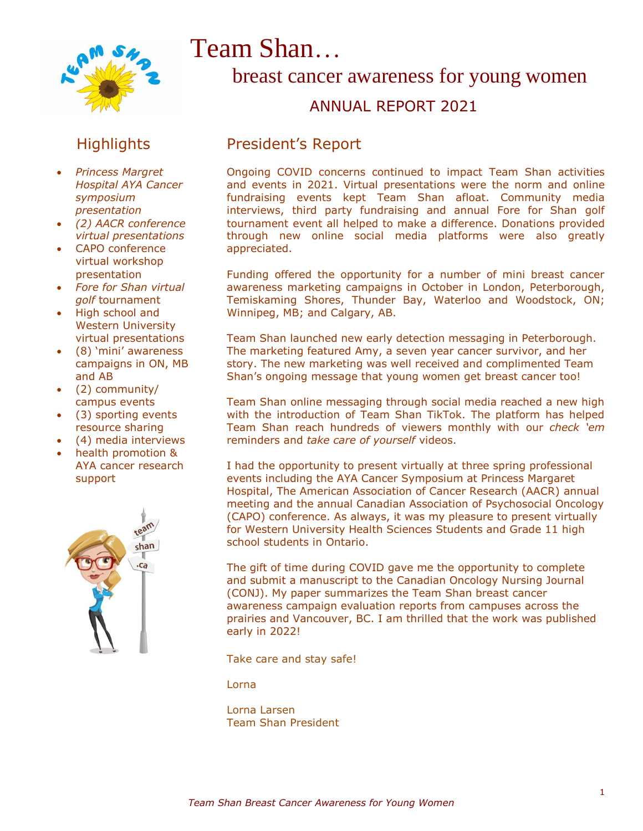

## **Highlights**

- *Princess Margret Hospital AYA Cancer symposium presentation*
- *(2) AACR conference virtual presentations*
- CAPO conference virtual workshop presentation
- *Fore for Shan virtual golf* tournament
- High school and Western University virtual presentations
- (8) 'mini' awareness campaigns in ON, MB and AB
- (2) community/ campus events
- (3) sporting events resource sharing
- (4) media interviews
- health promotion & AYA cancer research support



# Team Shan…

breast cancer awareness for young women

### ANNUAL REPORT 2021

### President's Report

Ongoing COVID concerns continued to impact Team Shan activities and events in 2021. Virtual presentations were the norm and online fundraising events kept Team Shan afloat. Community media interviews, third party fundraising and annual Fore for Shan golf tournament event all helped to make a difference. Donations provided through new online social media platforms were also greatly appreciated.

Funding offered the opportunity for a number of mini breast cancer awareness marketing campaigns in October in London, Peterborough, Temiskaming Shores, Thunder Bay, Waterloo and Woodstock, ON; Winnipeg, MB; and Calgary, AB.

Team Shan launched new early detection messaging in Peterborough. The marketing featured Amy, a seven year cancer survivor, and her story. The new marketing was well received and complimented Team Shan's ongoing message that young women get breast cancer too!

Team Shan online messaging through social media reached a new high with the introduction of Team Shan TikTok. The platform has helped Team Shan reach hundreds of viewers monthly with our *check 'em* reminders and *take care of yourself* videos.

I had the opportunity to present virtually at three spring professional events including the AYA Cancer Symposium at Princess Margaret Hospital, The American Association of Cancer Research (AACR) annual meeting and the annual Canadian Association of Psychosocial Oncology (CAPO) conference. As always, it was my pleasure to present virtually for Western University Health Sciences Students and Grade 11 high school students in Ontario.

The gift of time during COVID gave me the opportunity to complete and submit a manuscript to the Canadian Oncology Nursing Journal (CONJ). My paper summarizes the Team Shan breast cancer awareness campaign evaluation reports from campuses across the prairies and Vancouver, BC. I am thrilled that the work was published early in 2022!

Take care and stay safe!

Lorna

Lorna Larsen [Team Shan President](https://teamshan.ca/ts2020/wp-content/uploads/2020/03/Lorna-Larsen-with-Shan-Model-Pics-1024x768.jpg)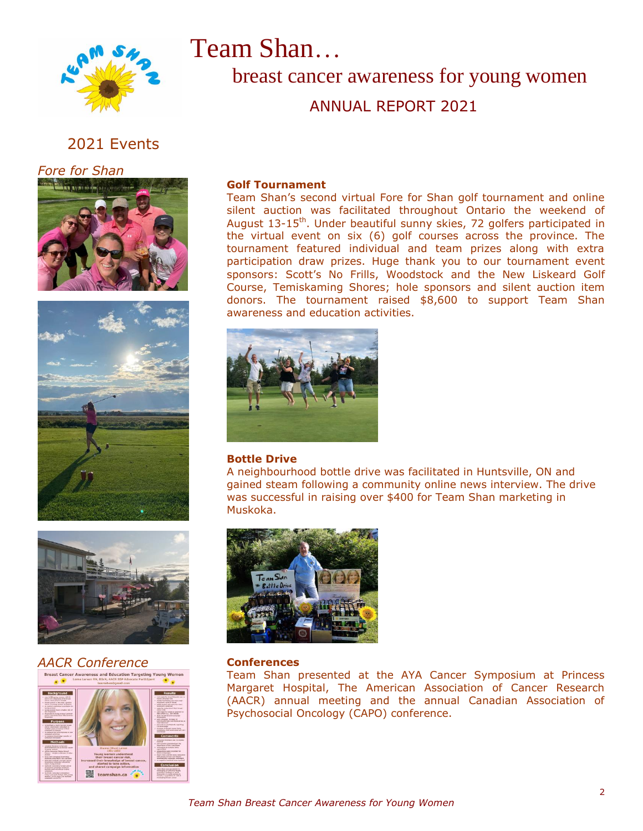

# Team Shan…

breast cancer awareness for young women

ANNUAL REPORT 2021

## 2021 Events

*Fore for Shan*







### *AACR Conference*



#### **Golf Tournament**

Team Shan's second virtual Fore for Shan golf tournament and online silent auction was facilitated throughout Ontario the weekend of August 13-15<sup>th</sup>. Under beautiful sunny skies, 72 golfers participated in the virtual event on six (6) golf courses across the province. The tournament featured individual and team prizes along with extra participation draw prizes. Huge thank you to our tournament event sponsors: Scott's No Frills, Woodstock and the New Liskeard Golf Course, Temiskaming Shores; hole sponsors and silent auction item donors. The tournament raised \$8,600 to support Team Shan awareness and education activities.



#### **Bottle Drive**

A neighbourhood bottle drive was facilitated in Huntsville, ON and gained steam following a community online news interview. The drive was successful in raising over \$400 for Team Shan marketing in Muskoka.



#### **Conferences**

Team Shan presented at the AYA Cancer Symposium at Princess Margaret Hospital, The American Association of Cancer Research (AACR) annual meeting and the annual Canadian Association of Psychosocial Oncology (CAPO) conference.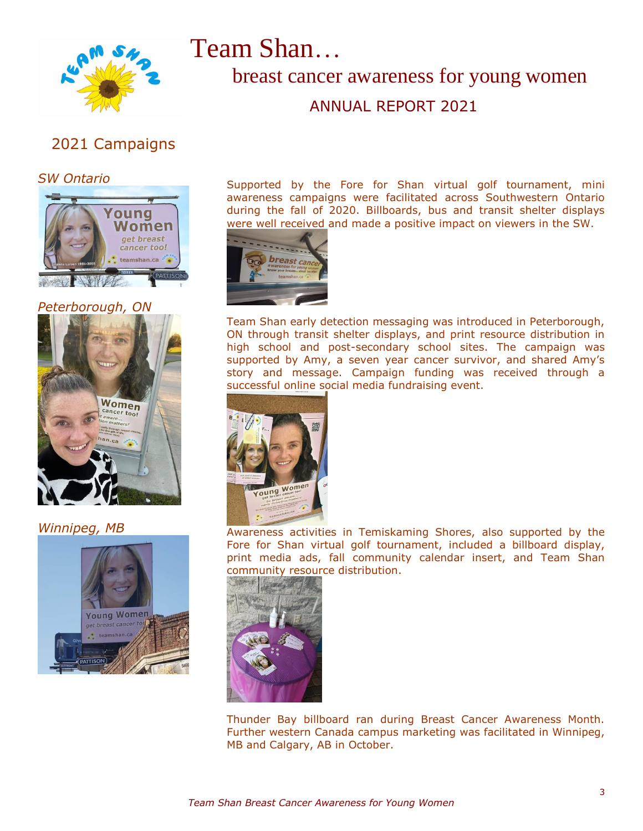

Team Shan…

# breast cancer awareness for young women

ANNUAL REPORT 2021

## 2021 Campaigns

*SW Ontario*



*Peterborough, ON*



*Winnipeg, MB*



Supported by the Fore for Shan virtual golf tournament, mini awareness campaigns were facilitated across Southwestern Ontario during the fall of 2020. Billboards, bus and transit shelter displays were well received and made a positive impact on viewers in the SW.



Team Shan early detection messaging was introduced in Peterborough, ON through transit shelter displays, and print resource distribution in high school and post-secondary school sites. The campaign was supported by Amy, a seven year cancer survivor, and shared Amy's story and message. Campaign funding was received through a successful online social media fundraising event.



Awareness activities in Temiskaming Shores, also supported by the Fore for Shan virtual golf tournament, included a billboard display, print media ads, fall community calendar insert, and Team Shan community resource distribution.



Thunder Bay billboard ran during Breast Cancer Awareness Month. Further western Canada campus marketing was facilitated in Winnipeg, MB and Calgary, AB in October.